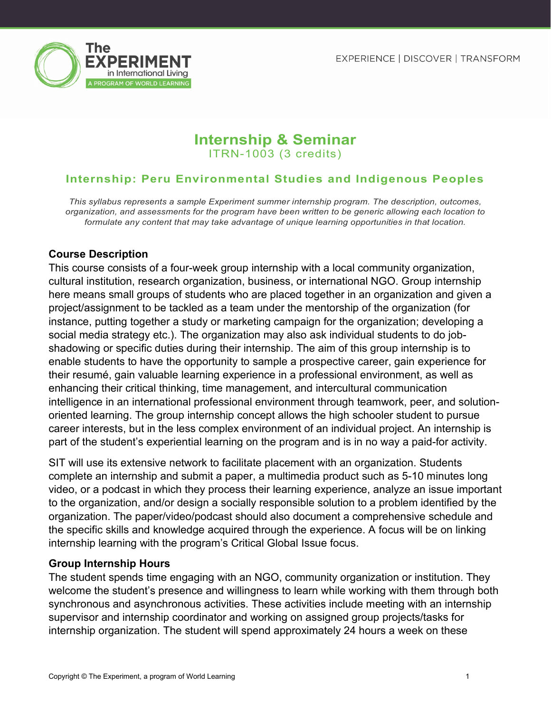

# **Internship & Seminar** ITRN-1003 (3 credits)

# **Internship: Peru Environmental Studies and Indigenous Peoples**

*This syllabus represents a sample Experiment summer internship program. The description, outcomes, organization, and assessments for the program have been written to be generic allowing each location to formulate any content that may take advantage of unique learning opportunities in that location.*

#### **Course Description**

This course consists of a four-week group internship with a local community organization, cultural institution, research organization, business, or international NGO. Group internship here means small groups of students who are placed together in an organization and given a project/assignment to be tackled as a team under the mentorship of the organization (for instance, putting together a study or marketing campaign for the organization; developing a social media strategy etc.). The organization may also ask individual students to do jobshadowing or specific duties during their internship. The aim of this group internship is to enable students to have the opportunity to sample a prospective career, gain experience for their resumé, gain valuable learning experience in a professional environment, as well as enhancing their critical thinking, time management, and intercultural communication intelligence in an international professional environment through teamwork, peer, and solutionoriented learning. The group internship concept allows the high schooler student to pursue career interests, but in the less complex environment of an individual project. An internship is part of the student's experiential learning on the program and is in no way a paid-for activity.

SIT will use its extensive network to facilitate placement with an organization. Students complete an internship and submit a paper, a multimedia product such as 5-10 minutes long video, or a podcast in which they process their learning experience, analyze an issue important to the organization, and/or design a socially responsible solution to a problem identified by the organization. The paper/video/podcast should also document a comprehensive schedule and the specific skills and knowledge acquired through the experience. A focus will be on linking internship learning with the program's Critical Global Issue focus.

#### **Group Internship Hours**

The student spends time engaging with an NGO, community organization or institution. They welcome the student's presence and willingness to learn while working with them through both synchronous and asynchronous activities. These activities include meeting with an internship supervisor and internship coordinator and working on assigned group projects/tasks for internship organization. The student will spend approximately 24 hours a week on these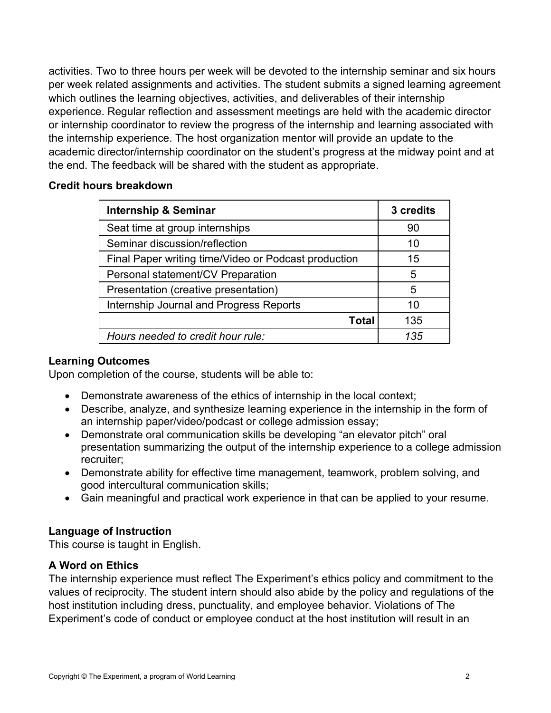activities. Two to three hours per week will be devoted to the internship seminar and six hours per week related assignments and activities. The student submits a signed learning agreement which outlines the learning objectives, activities, and deliverables of their internship experience. Regular reflection and assessment meetings are held with the academic director or internship coordinator to review the progress of the internship and learning associated with the internship experience. The host organization mentor will provide an update to the academic director/internship coordinator on the student's progress at the midway point and at the end. The feedback will be shared with the student as appropriate.

#### **Credit hours breakdown**

| <b>Internship &amp; Seminar</b>                      | 3 credits |
|------------------------------------------------------|-----------|
| Seat time at group internships                       | 90        |
| Seminar discussion/reflection                        | 10        |
| Final Paper writing time/Video or Podcast production | 15        |
| Personal statement/CV Preparation                    | 5         |
| Presentation (creative presentation)                 | 5         |
| Internship Journal and Progress Reports              | 10        |
| Total                                                | 135       |
| Hours needed to credit hour rule:                    | 135       |

### **Learning Outcomes**

Upon completion of the course, students will be able to:

- Demonstrate awareness of the ethics of internship in the local context;
- Describe, analyze, and synthesize learning experience in the internship in the form of an internship paper/video/podcast or college admission essay;
- Demonstrate oral communication skills be developing "an elevator pitch" oral presentation summarizing the output of the internship experience to a college admission recruiter;
- Demonstrate ability for effective time management, teamwork, problem solving, and good intercultural communication skills;
- Gain meaningful and practical work experience in that can be applied to your resume.

# **Language of Instruction**

This course is taught in English.

### **A Word on Ethics**

The internship experience must reflect The Experiment's ethics policy and commitment to the values of reciprocity. The student intern should also abide by the policy and regulations of the host institution including dress, punctuality, and employee behavior. Violations of The Experiment's code of conduct or employee conduct at the host institution will result in an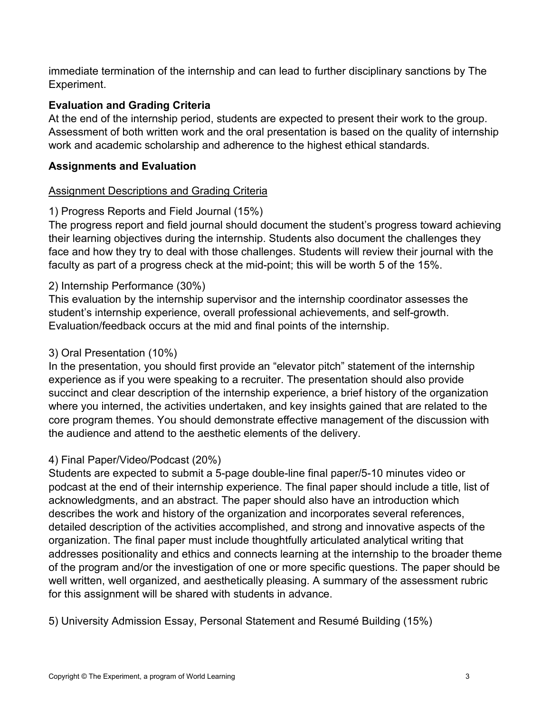immediate termination of the internship and can lead to further disciplinary sanctions by The Experiment.

### **Evaluation and Grading Criteria**

At the end of the internship period, students are expected to present their work to the group. Assessment of both written work and the oral presentation is based on the quality of internship work and academic scholarship and adherence to the highest ethical standards.

### **Assignments and Evaluation**

### Assignment Descriptions and Grading Criteria

# 1) Progress Reports and Field Journal (15%)

The progress report and field journal should document the student's progress toward achieving their learning objectives during the internship. Students also document the challenges they face and how they try to deal with those challenges. Students will review their journal with the faculty as part of a progress check at the mid-point; this will be worth 5 of the 15%.

### 2) Internship Performance (30%)

This evaluation by the internship supervisor and the internship coordinator assesses the student's internship experience, overall professional achievements, and self-growth. Evaluation/feedback occurs at the mid and final points of the internship.

## 3) Oral Presentation (10%)

In the presentation, you should first provide an "elevator pitch" statement of the internship experience as if you were speaking to a recruiter. The presentation should also provide succinct and clear description of the internship experience, a brief history of the organization where you interned, the activities undertaken, and key insights gained that are related to the core program themes. You should demonstrate effective management of the discussion with the audience and attend to the aesthetic elements of the delivery.

### 4) Final Paper/Video/Podcast (20%)

Students are expected to submit a 5-page double-line final paper/5-10 minutes video or podcast at the end of their internship experience. The final paper should include a title, list of acknowledgments, and an abstract. The paper should also have an introduction which describes the work and history of the organization and incorporates several references, detailed description of the activities accomplished, and strong and innovative aspects of the organization. The final paper must include thoughtfully articulated analytical writing that addresses positionality and ethics and connects learning at the internship to the broader theme of the program and/or the investigation of one or more specific questions. The paper should be well written, well organized, and aesthetically pleasing. A summary of the assessment rubric for this assignment will be shared with students in advance.

5) University Admission Essay, Personal Statement and Resumé Building (15%)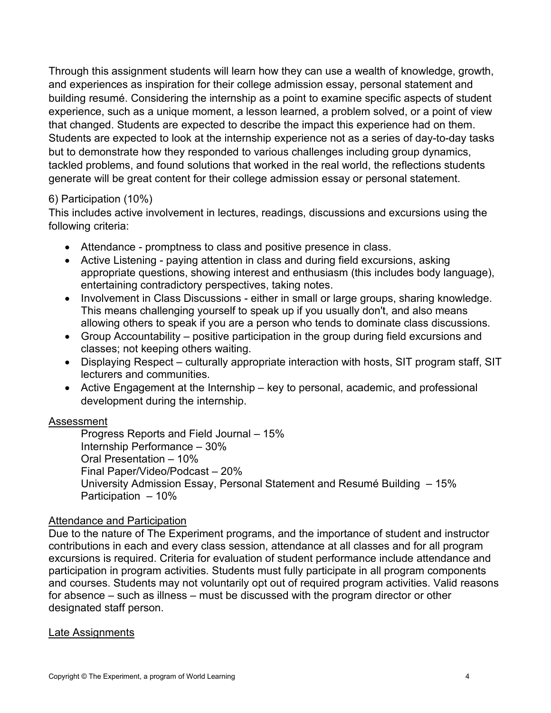Through this assignment students will learn how they can use a wealth of knowledge, growth, and experiences as inspiration for their college admission essay, personal statement and building resumé. Considering the internship as a point to examine specific aspects of student experience, such as a unique moment, a lesson learned, a problem solved, or a point of view that changed. Students are expected to describe the impact this experience had on them. Students are expected to look at the internship experience not as a series of day-to-day tasks but to demonstrate how they responded to various challenges including group dynamics, tackled problems, and found solutions that worked in the real world, the reflections students generate will be great content for their college admission essay or personal statement.

#### 6) Participation (10%)

This includes active involvement in lectures, readings, discussions and excursions using the following criteria:

- Attendance promptness to class and positive presence in class.
- Active Listening paying attention in class and during field excursions, asking appropriate questions, showing interest and enthusiasm (this includes body language), entertaining contradictory perspectives, taking notes.
- Involvement in Class Discussions either in small or large groups, sharing knowledge. This means challenging yourself to speak up if you usually don't, and also means allowing others to speak if you are a person who tends to dominate class discussions.
- Group Accountability positive participation in the group during field excursions and classes; not keeping others waiting.
- Displaying Respect culturally appropriate interaction with hosts, SIT program staff, SIT lecturers and communities.
- Active Engagement at the Internship key to personal, academic, and professional development during the internship.

### Assessment

Progress Reports and Field Journal – 15% Internship Performance – 30% Oral Presentation – 10% Final Paper/Video/Podcast – 20% University Admission Essay, Personal Statement and Resumé Building – 15% Participation – 10%

#### Attendance and Participation

Due to the nature of The Experiment programs, and the importance of student and instructor contributions in each and every class session, attendance at all classes and for all program excursions is required. Criteria for evaluation of student performance include attendance and participation in program activities. Students must fully participate in all program components and courses. Students may not voluntarily opt out of required program activities. Valid reasons for absence – such as illness – must be discussed with the program director or other designated staff person.

#### Late Assignments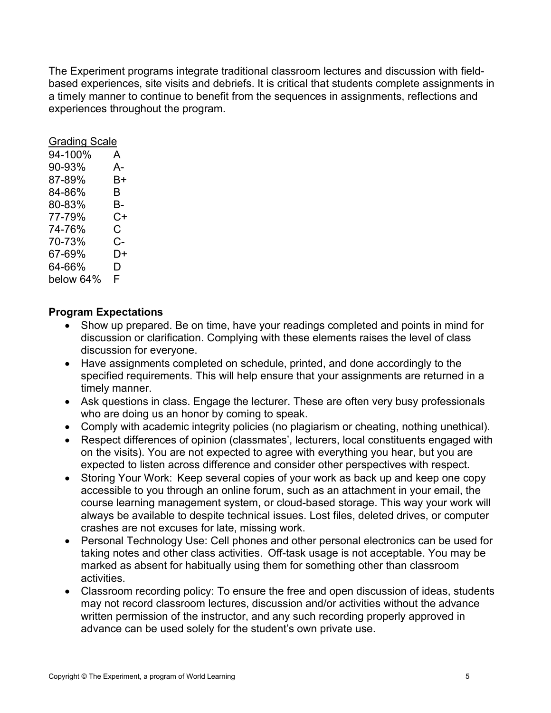The Experiment programs integrate traditional classroom lectures and discussion with fieldbased experiences, site visits and debriefs. It is critical that students complete assignments in a timely manner to continue to benefit from the sequences in assignments, reflections and experiences throughout the program.

Grading Scale 94-100% A 90-93% A-87-89% B+ 84-86% B 80-83% B-77-79% C+ 74-76% C 70-73% C-67-69% D+ 64-66% D below 64% F

#### **Program Expectations**

- Show up prepared. Be on time, have your readings completed and points in mind for discussion or clarification. Complying with these elements raises the level of class discussion for everyone.
- Have assignments completed on schedule, printed, and done accordingly to the specified requirements. This will help ensure that your assignments are returned in a timely manner.
- Ask questions in class. Engage the lecturer. These are often very busy professionals who are doing us an honor by coming to speak.
- Comply with academic integrity policies (no plagiarism or cheating, nothing unethical).
- Respect differences of opinion (classmates', lecturers, local constituents engaged with on the visits). You are not expected to agree with everything you hear, but you are expected to listen across difference and consider other perspectives with respect.
- Storing Your Work:  Keep several copies of your work as back up and keep one copy accessible to you through an online forum, such as an attachment in your email, the course learning management system, or cloud-based storage. This way your work will always be available to despite technical issues. Lost files, deleted drives, or computer crashes are not excuses for late, missing work.
- Personal Technology Use: Cell phones and other personal electronics can be used for taking notes and other class activities.  Off-task usage is not acceptable. You may be marked as absent for habitually using them for something other than classroom activities.
- Classroom recording policy: To ensure the free and open discussion of ideas, students may not record classroom lectures, discussion and/or activities without the advance written permission of the instructor, and any such recording properly approved in advance can be used solely for the student's own private use.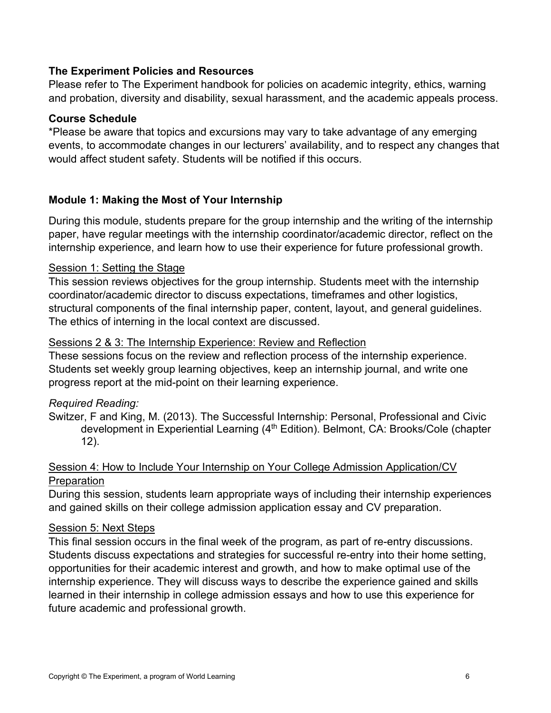#### **The Experiment Policies and Resources**

Please refer to The Experiment handbook for policies on academic integrity, ethics, warning and probation, diversity and disability, sexual harassment, and the academic appeals process.

#### **Course Schedule**

\*Please be aware that topics and excursions may vary to take advantage of any emerging events, to accommodate changes in our lecturers' availability, and to respect any changes that would affect student safety. Students will be notified if this occurs.

### **Module 1: Making the Most of Your Internship**

During this module, students prepare for the group internship and the writing of the internship paper, have regular meetings with the internship coordinator/academic director, reflect on the internship experience, and learn how to use their experience for future professional growth.

#### Session 1: Setting the Stage

This session reviews objectives for the group internship. Students meet with the internship coordinator/academic director to discuss expectations, timeframes and other logistics, structural components of the final internship paper, content, layout, and general guidelines. The ethics of interning in the local context are discussed.

#### Sessions 2 & 3: The Internship Experience: Review and Reflection

These sessions focus on the review and reflection process of the internship experience. Students set weekly group learning objectives, keep an internship journal, and write one progress report at the mid-point on their learning experience.

### *Required Reading:*

Switzer, F and King, M. (2013). The Successful Internship: Personal, Professional and Civic development in Experiential Learning (4<sup>th</sup> Edition). Belmont, CA: Brooks/Cole (chapter 12).

#### Session 4: How to Include Your Internship on Your College Admission Application/CV **Preparation**

During this session, students learn appropriate ways of including their internship experiences and gained skills on their college admission application essay and CV preparation.

#### Session 5: Next Steps

This final session occurs in the final week of the program, as part of re-entry discussions. Students discuss expectations and strategies for successful re-entry into their home setting, opportunities for their academic interest and growth, and how to make optimal use of the internship experience. They will discuss ways to describe the experience gained and skills learned in their internship in college admission essays and how to use this experience for future academic and professional growth.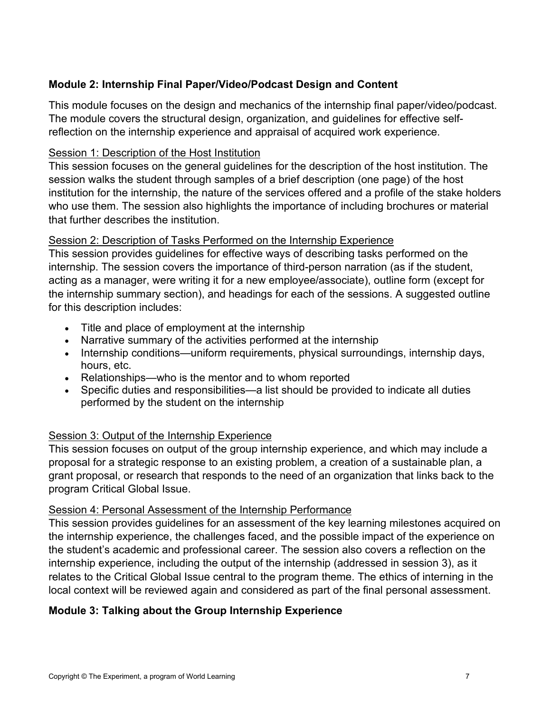# **Module 2: Internship Final Paper/Video/Podcast Design and Content**

This module focuses on the design and mechanics of the internship final paper/video/podcast. The module covers the structural design, organization, and guidelines for effective selfreflection on the internship experience and appraisal of acquired work experience.

### Session 1: Description of the Host Institution

This session focuses on the general guidelines for the description of the host institution. The session walks the student through samples of a brief description (one page) of the host institution for the internship, the nature of the services offered and a profile of the stake holders who use them. The session also highlights the importance of including brochures or material that further describes the institution.

### Session 2: Description of Tasks Performed on the Internship Experience

This session provides guidelines for effective ways of describing tasks performed on the internship. The session covers the importance of third-person narration (as if the student, acting as a manager, were writing it for a new employee/associate), outline form (except for the internship summary section), and headings for each of the sessions. A suggested outline for this description includes:

- Title and place of employment at the internship
- Narrative summary of the activities performed at the internship
- Internship conditions—uniform requirements, physical surroundings, internship days, hours, etc.
- Relationships—who is the mentor and to whom reported
- Specific duties and responsibilities—a list should be provided to indicate all duties performed by the student on the internship

### Session 3: Output of the Internship Experience

This session focuses on output of the group internship experience, and which may include a proposal for a strategic response to an existing problem, a creation of a sustainable plan, a grant proposal, or research that responds to the need of an organization that links back to the program Critical Global Issue.

#### Session 4: Personal Assessment of the Internship Performance

This session provides guidelines for an assessment of the key learning milestones acquired on the internship experience, the challenges faced, and the possible impact of the experience on the student's academic and professional career. The session also covers a reflection on the internship experience, including the output of the internship (addressed in session 3), as it relates to the Critical Global Issue central to the program theme. The ethics of interning in the local context will be reviewed again and considered as part of the final personal assessment.

### **Module 3: Talking about the Group Internship Experience**